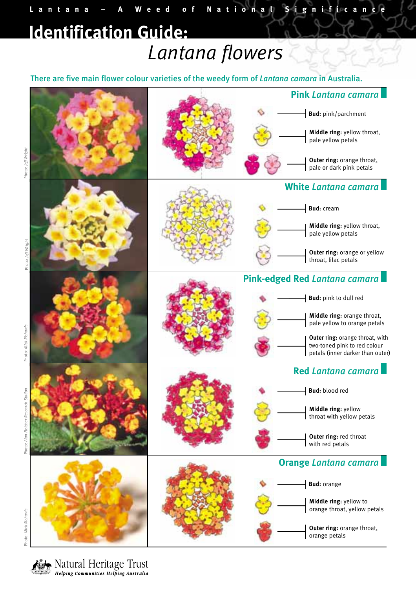## *Lantana flowers* **Identification Guide:**

There are five main flower colour varieties of the weedy form of *Lantana camara* in Australia.

**Lantana – A Weed of National Significance**



Photo: Jeff Wright

Photo: Mick Richards

Alan Fletcher Research Station Photo: *Alan Fletcher Research Station* Photo:

Natural Heritage Trust **Helping Communities Helping Australia**